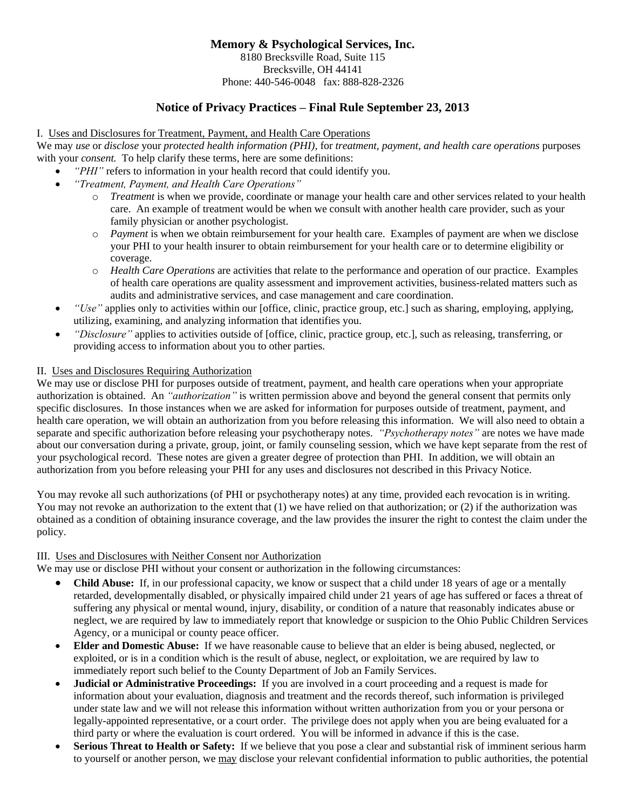# **Memory & Psychological Services, Inc.** 8180 Brecksville Road, Suite 115 Brecksville, OH 44141 Phone: 440-546-0048 fax: 888-828-2326

# **Notice of Privacy Practices – Final Rule September 23, 2013**

### I. Uses and Disclosures for Treatment, Payment, and Health Care Operations

We may *use* or *disclose* your *protected health information (PHI)*, for *treatment, payment, and health care operations* purposes with your *consent.* To help clarify these terms, here are some definitions:

- "PHI" refers to information in your health record that could identify you.
- *"Treatment, Payment, and Health Care Operations"*
	- o *Treatment* is when we provide, coordinate or manage your health care and other services related to your health care. An example of treatment would be when we consult with another health care provider, such as your family physician or another psychologist.
	- o *Payment* is when we obtain reimbursement for your health care. Examples of payment are when we disclose your PHI to your health insurer to obtain reimbursement for your health care or to determine eligibility or coverage.
	- o *Health Care Operations* are activities that relate to the performance and operation of our practice. Examples of health care operations are quality assessment and improvement activities, business-related matters such as audits and administrative services, and case management and care coordination.
- *"Use"* applies only to activities within our [office, clinic, practice group, etc.] such as sharing, employing, applying, utilizing, examining, and analyzing information that identifies you.
- *"Disclosure"* applies to activities outside of [office, clinic, practice group, etc.], such as releasing, transferring, or providing access to information about you to other parties.

# II. Uses and Disclosures Requiring Authorization

We may use or disclose PHI for purposes outside of treatment, payment, and health care operations when your appropriate authorization is obtained. An *"authorization"* is written permission above and beyond the general consent that permits only specific disclosures. In those instances when we are asked for information for purposes outside of treatment, payment, and health care operation, we will obtain an authorization from you before releasing this information. We will also need to obtain a separate and specific authorization before releasing your psychotherapy notes. *"Psychotherapy notes"* are notes we have made about our conversation during a private, group, joint, or family counseling session, which we have kept separate from the rest of your psychological record. These notes are given a greater degree of protection than PHI. In addition, we will obtain an authorization from you before releasing your PHI for any uses and disclosures not described in this Privacy Notice.

You may revoke all such authorizations (of PHI or psychotherapy notes) at any time, provided each revocation is in writing. You may not revoke an authorization to the extent that (1) we have relied on that authorization; or (2) if the authorization was obtained as a condition of obtaining insurance coverage, and the law provides the insurer the right to contest the claim under the policy.

#### III. Uses and Disclosures with Neither Consent nor Authorization

We may use or disclose PHI without your consent or authorization in the following circumstances:

- **Child Abuse:** If, in our professional capacity, we know or suspect that a child under 18 years of age or a mentally retarded, developmentally disabled, or physically impaired child under 21 years of age has suffered or faces a threat of suffering any physical or mental wound, injury, disability, or condition of a nature that reasonably indicates abuse or neglect, we are required by law to immediately report that knowledge or suspicion to the Ohio Public Children Services Agency, or a municipal or county peace officer.
- **Elder and Domestic Abuse:** If we have reasonable cause to believe that an elder is being abused, neglected, or exploited, or is in a condition which is the result of abuse, neglect, or exploitation, we are required by law to immediately report such belief to the County Department of Job an Family Services.
- **Judicial or Administrative Proceedings:** If you are involved in a court proceeding and a request is made for information about your evaluation, diagnosis and treatment and the records thereof, such information is privileged under state law and we will not release this information without written authorization from you or your persona or legally-appointed representative, or a court order. The privilege does not apply when you are being evaluated for a third party or where the evaluation is court ordered. You will be informed in advance if this is the case.
- **Serious Threat to Health or Safety:** If we believe that you pose a clear and substantial risk of imminent serious harm to yourself or another person, we may disclose your relevant confidential information to public authorities, the potential